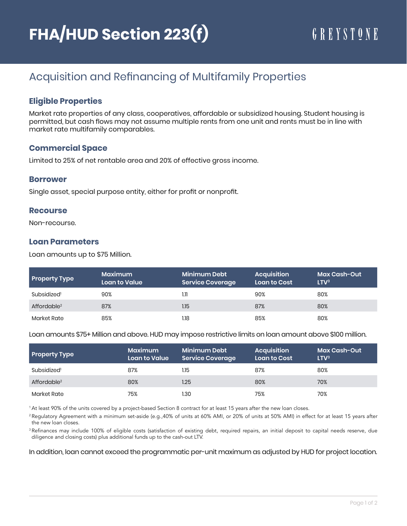## Acquisition and Refinancing of Multifamily Properties

## **Eligible Properties**

Market rate properties of any class, cooperatives, affordable or subsidized housing. Student housing is permitted, but cash flows may not assume multiple rents from one unit and rents must be in line with market rate multifamily comparables.

#### **Commercial Space**

Limited to 25% of net rentable area and 20% of effective gross income.

#### **Borrower**

Single asset, special purpose entity, either for profit or nonprofit.

#### **Recourse**

Non-recourse.

#### **Loan Parameters**

Loan amounts up to \$75 Million.

| <b>Property Type</b>    | Maximum<br><b>Loan to Value</b> | Minimum Debt<br><b>Service Coverage</b> | <b>Acquisition</b><br>Loan to Cost | <b>Max Cash-Out</b><br>LTV <sup>3</sup> |
|-------------------------|---------------------------------|-----------------------------------------|------------------------------------|-----------------------------------------|
| Subsidized <sup>1</sup> | 90%                             | 1.11                                    | 90%                                | 80%                                     |
| Affordable <sup>2</sup> | 87%                             | 1.15                                    | 87%                                | 80%                                     |
| Market Rate             | 85%                             | 1.18                                    | 85%                                | 80%                                     |

Loan amounts \$75+ Million and above. HUD may impose restrictive limits on loan amount above \$100 million.

| <b>Property Type</b>    | <b>Maximum</b><br><b>Loan to Value</b> | Minimum Debt<br><b>Service Coverage</b> | <b>Acquisition</b><br>Loan to Cost | <b>Max Cash-Out</b><br>LTV <sup>3</sup> |
|-------------------------|----------------------------------------|-----------------------------------------|------------------------------------|-----------------------------------------|
| Subsidized <sup>1</sup> | 87%                                    | 1.15                                    | 87%                                | 80%                                     |
| Affordable <sup>2</sup> | 80%                                    | 1.25                                    | 80%                                | 70%                                     |
| Market Rate             | 75%                                    | 1.30                                    | 75%                                | 70%                                     |

1 At least 90% of the units covered by a project-based Section 8 contract for at least 15 years after the new loan closes.

<sup>2</sup> Regulatory Agreement with a minimum set-aside (e.g.,40% of units at 60% AMI, or 20% of units at 50% AMI) in effect for at least 15 years after the new loan closes.

<sup>3</sup>Refinances may include 100% of eligible costs (satisfaction of existing debt, required repairs, an initial deposit to capital needs reserve, due diligence and closing costs) plus additional funds up to the cash-out LTV.

In addition, loan cannot exceed the programmatic per-unit maximum as adjusted by HUD for project location.